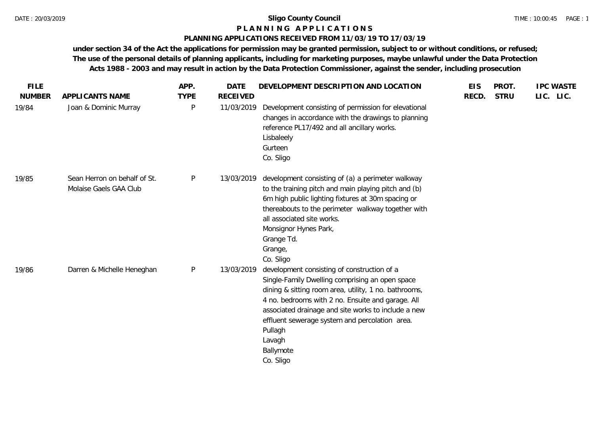#### **P L A N N I N G A P P L I C A T I O N S**

#### **PLANNING APPLICATIONS RECEIVED FROM 11/03/19 TO 17/03/19**

| <b>FILE</b>   |                                                        | APP.        | <b>DATE</b>     | DEVELOPMENT DESCRIPTION AND LOCATION                                                                                                                                                                                                                                                                                                                                 | <b>EIS</b> | PROT.       | <b>IPC WASTE</b> |  |
|---------------|--------------------------------------------------------|-------------|-----------------|----------------------------------------------------------------------------------------------------------------------------------------------------------------------------------------------------------------------------------------------------------------------------------------------------------------------------------------------------------------------|------------|-------------|------------------|--|
| <b>NUMBER</b> | APPLICANTS NAME                                        | <b>TYPE</b> | <b>RECEIVED</b> |                                                                                                                                                                                                                                                                                                                                                                      | RECD.      | <b>STRU</b> | LIC. LIC.        |  |
| 19/84         | Joan & Dominic Murray                                  | P           | 11/03/2019      | Development consisting of permission for elevational<br>changes in accordance with the drawings to planning<br>reference PL17/492 and all ancillary works.<br>Lisbaleely<br>Gurteen<br>Co. Sligo                                                                                                                                                                     |            |             |                  |  |
| 19/85         | Sean Herron on behalf of St.<br>Molaise Gaels GAA Club | P           | 13/03/2019      | development consisting of (a) a perimeter walkway<br>to the training pitch and main playing pitch and (b)<br>6m high public lighting fixtures at 30m spacing or<br>thereabouts to the perimeter walkway together with<br>all associated site works.<br>Monsignor Hynes Park,<br>Grange Td.<br>Grange,<br>Co. Sligo                                                   |            |             |                  |  |
| 19/86         | Darren & Michelle Heneghan                             | P           | 13/03/2019      | development consisting of construction of a<br>Single-Family Dwelling comprising an open space<br>dining & sitting room area, utility, 1 no. bathrooms,<br>4 no. bedrooms with 2 no. Ensuite and garage. All<br>associated drainage and site works to include a new<br>effluent sewerage system and percolation area.<br>Pullagh<br>Lavagh<br>Ballymote<br>Co. Sligo |            |             |                  |  |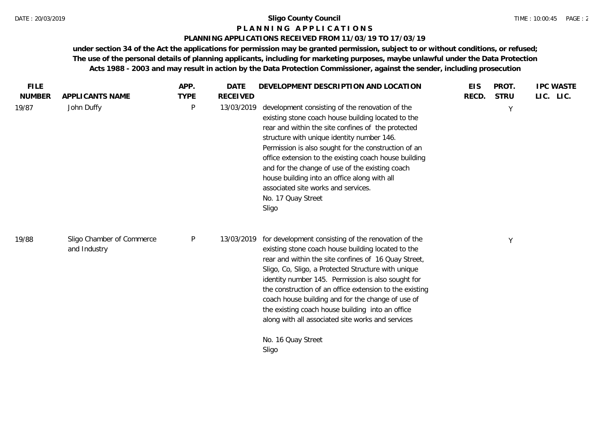#### **P L A N N I N G A P P L I C A T I O N S**

# **PLANNING APPLICATIONS RECEIVED FROM 11/03/19 TO 17/03/19**

| <b>FILE</b><br><b>NUMBER</b> | APPLICANTS NAME                           | APP.<br><b>TYPE</b> | <b>DATE</b><br><b>RECEIVED</b> | DEVELOPMENT DESCRIPTION AND LOCATION                                                                                                                                                                                                                                                                                                                                                                                                                                                                    | <b>EIS</b><br>RECD. | PROT.<br><b>STRU</b> | <b>IPC WASTE</b><br>LIC. LIC. |
|------------------------------|-------------------------------------------|---------------------|--------------------------------|---------------------------------------------------------------------------------------------------------------------------------------------------------------------------------------------------------------------------------------------------------------------------------------------------------------------------------------------------------------------------------------------------------------------------------------------------------------------------------------------------------|---------------------|----------------------|-------------------------------|
| 19/87                        | John Duffy                                | $\mathsf{P}$        | 13/03/2019                     | development consisting of the renovation of the<br>existing stone coach house building located to the<br>rear and within the site confines of the protected<br>structure with unique identity number 146.<br>Permission is also sought for the construction of an<br>office extension to the existing coach house building<br>and for the change of use of the existing coach<br>house building into an office along with all<br>associated site works and services.<br>No. 17 Quay Street<br>Sligo     |                     | Y                    |                               |
| 19/88                        | Sligo Chamber of Commerce<br>and Industry | P                   | 13/03/2019                     | for development consisting of the renovation of the<br>existing stone coach house building located to the<br>rear and within the site confines of 16 Quay Street,<br>Sligo, Co, Sligo, a Protected Structure with unique<br>identity number 145. Permission is also sought for<br>the construction of an office extension to the existing<br>coach house building and for the change of use of<br>the existing coach house building into an office<br>along with all associated site works and services |                     | Y                    |                               |
|                              |                                           |                     |                                | No. 16 Quay Street<br>Sligo                                                                                                                                                                                                                                                                                                                                                                                                                                                                             |                     |                      |                               |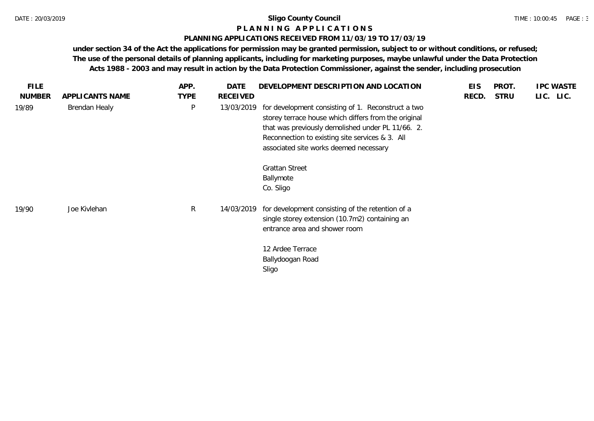#### **P L A N N I N G A P P L I C A T I O N S**

# **PLANNING APPLICATIONS RECEIVED FROM 11/03/19 TO 17/03/19**

| <b>FILE</b>   |                 | APP.         | <b>DATE</b> | DEVELOPMENT DESCRIPTION AND LOCATION                                                                                                                                                                                                                         | <b>EIS</b> | PROT.       | <b>IPC WASTE</b> |
|---------------|-----------------|--------------|-------------|--------------------------------------------------------------------------------------------------------------------------------------------------------------------------------------------------------------------------------------------------------------|------------|-------------|------------------|
| <b>NUMBER</b> | APPLICANTS NAME | <b>TYPE</b>  | RECEIVED    |                                                                                                                                                                                                                                                              | RECD.      | <b>STRU</b> | LIC. LIC.        |
| 19/89         | Brendan Healy   | $\sf P$      | 13/03/2019  | for development consisting of 1. Reconstruct a two<br>storey terrace house which differs from the original<br>that was previously demolished under PL 11/66. 2.<br>Reconnection to existing site services & 3. All<br>associated site works deemed necessary |            |             |                  |
|               |                 |              |             | <b>Grattan Street</b><br>Ballymote<br>Co. Sligo                                                                                                                                                                                                              |            |             |                  |
| 19/90         | Joe Kivlehan    | $\mathsf{R}$ | 14/03/2019  | for development consisting of the retention of a<br>single storey extension (10.7m2) containing an<br>entrance area and shower room<br>12 Ardee Terrace                                                                                                      |            |             |                  |
|               |                 |              |             | Ballydoogan Road<br>Sligo                                                                                                                                                                                                                                    |            |             |                  |
|               |                 |              |             |                                                                                                                                                                                                                                                              |            |             |                  |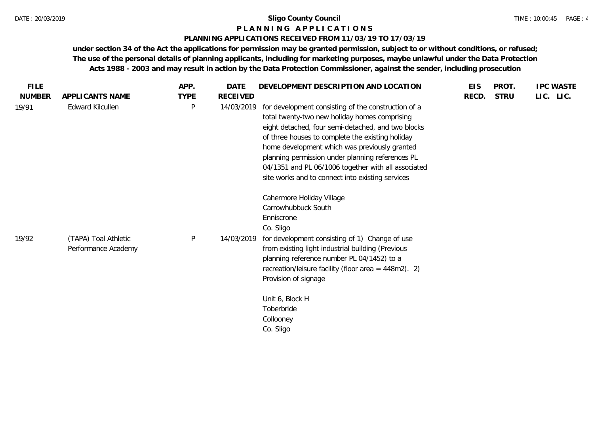### **P L A N N I N G A P P L I C A T I O N S**

#### **PLANNING APPLICATIONS RECEIVED FROM 11/03/19 TO 17/03/19**

| <b>FILE</b>   |                                             | APP.         | <b>DATE</b>     | DEVELOPMENT DESCRIPTION AND LOCATION                                                                                                                                                                                                                                                                                                                                                                                           | <b>EIS</b> | PROT.       | <b>IPC WASTE</b> |
|---------------|---------------------------------------------|--------------|-----------------|--------------------------------------------------------------------------------------------------------------------------------------------------------------------------------------------------------------------------------------------------------------------------------------------------------------------------------------------------------------------------------------------------------------------------------|------------|-------------|------------------|
| <b>NUMBER</b> | APPLICANTS NAME                             | <b>TYPE</b>  | <b>RECEIVED</b> |                                                                                                                                                                                                                                                                                                                                                                                                                                | RECD.      | <b>STRU</b> | LIC. LIC.        |
| 19/91         | Edward Kilcullen                            | $\mathsf{P}$ | 14/03/2019      | for development consisting of the construction of a<br>total twenty-two new holiday homes comprising<br>eight detached, four semi-detached, and two blocks<br>of three houses to complete the existing holiday<br>home development which was previously granted<br>planning permission under planning references PL<br>04/1351 and PL 06/1006 together with all associated<br>site works and to connect into existing services |            |             |                  |
|               |                                             |              |                 | Cahermore Holiday Village<br>Carrowhubbuck South<br>Enniscrone<br>Co. Sligo                                                                                                                                                                                                                                                                                                                                                    |            |             |                  |
| 19/92         | (TAPA) Toal Athletic<br>Performance Academy | $\mathsf{P}$ | 14/03/2019      | for development consisting of 1) Change of use<br>from existing light industrial building (Previous<br>planning reference number PL 04/1452) to a<br>recreation/leisure facility (floor area = $448m2$ ). 2)<br>Provision of signage                                                                                                                                                                                           |            |             |                  |
|               |                                             |              |                 | Unit 6, Block H<br>Toberbride<br>Collooney<br>Co. Sligo                                                                                                                                                                                                                                                                                                                                                                        |            |             |                  |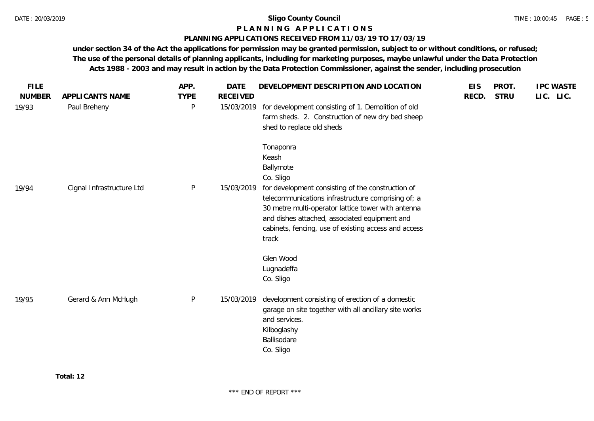# **P L A N N I N G A P P L I C A T I O N S**

#### **PLANNING APPLICATIONS RECEIVED FROM 11/03/19 TO 17/03/19**

| <b>FILE</b><br><b>NUMBER</b> | APPLICANTS NAME           | APP.<br><b>TYPE</b> | <b>DATE</b><br><b>RECEIVED</b> | DEVELOPMENT DESCRIPTION AND LOCATION                                                                                                                                                                                                                                            | <b>EIS</b><br>RECD. | PROT.<br><b>STRU</b> | <b>IPC WASTE</b><br>LIC. LIC. |
|------------------------------|---------------------------|---------------------|--------------------------------|---------------------------------------------------------------------------------------------------------------------------------------------------------------------------------------------------------------------------------------------------------------------------------|---------------------|----------------------|-------------------------------|
| 19/93                        | Paul Breheny              | $\mathsf{P}$        | 15/03/2019                     | for development consisting of 1. Demolition of old<br>farm sheds. 2. Construction of new dry bed sheep<br>shed to replace old sheds                                                                                                                                             |                     |                      |                               |
|                              |                           |                     |                                | Tonaponra<br>Keash<br>Ballymote<br>Co. Sligo                                                                                                                                                                                                                                    |                     |                      |                               |
| 19/94                        | Cignal Infrastructure Ltd | $\mathsf{P}$        | 15/03/2019                     | for development consisting of the construction of<br>telecommunications infrastructure comprising of; a<br>30 metre multi-operator lattice tower with antenna<br>and dishes attached, associated equipment and<br>cabinets, fencing, use of existing access and access<br>track |                     |                      |                               |
|                              |                           |                     |                                | Glen Wood<br>Lugnadeffa<br>Co. Sligo                                                                                                                                                                                                                                            |                     |                      |                               |
| 19/95                        | Gerard & Ann McHugh       | P                   | 15/03/2019                     | development consisting of erection of a domestic<br>garage on site together with all ancillary site works<br>and services.<br>Kilboglashy<br>Ballisodare<br>Co. Sligo                                                                                                           |                     |                      |                               |
|                              |                           |                     |                                |                                                                                                                                                                                                                                                                                 |                     |                      |                               |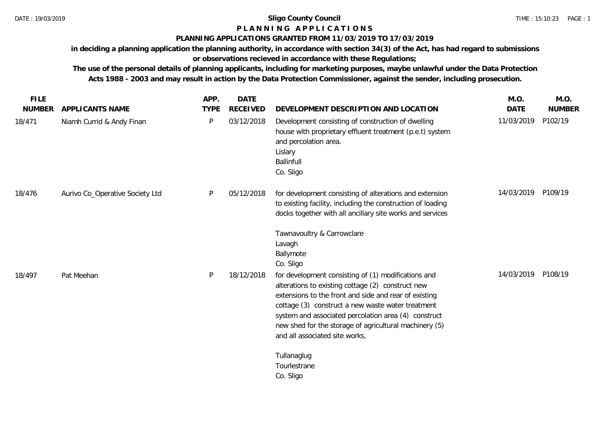# **P L A N N I N G A P P L I C A T I O N S**

# **PLANNING APPLICATIONS GRANTED FROM 11/03/2019 TO 17/03/2019**

**in deciding a planning application the planning authority, in accordance with section 34(3) of the Act, has had regard to submissions or observations recieved in accordance with these Regulations;**

**The use of the personal details of planning applicants, including for marketing purposes, maybe unlawful under the Data Protection Acts 1988 - 2003 and may result in action by the Data Protection Commissioner, against the sender, including prosecution.**

| <b>FILE</b>   |                                 | APP.        | <b>DATE</b>     |                                                                                                                                                                                                                                                                                                                                                                            | M.O.               | M.O.          |
|---------------|---------------------------------|-------------|-----------------|----------------------------------------------------------------------------------------------------------------------------------------------------------------------------------------------------------------------------------------------------------------------------------------------------------------------------------------------------------------------------|--------------------|---------------|
| <b>NUMBER</b> | APPLICANTS NAME                 | <b>TYPE</b> | <b>RECEIVED</b> | DEVELOPMENT DESCRIPTION AND LOCATION                                                                                                                                                                                                                                                                                                                                       | <b>DATE</b>        | <b>NUMBER</b> |
| 18/471        | Niamh Currid & Andy Finan       | P           | 03/12/2018      | Development consisting of construction of dwelling<br>house with proprietary effluent treatment (p.e.t) system<br>and percolation area.<br>Lislary<br>Ballinfull<br>Co. Sligo                                                                                                                                                                                              | 11/03/2019         | P102/19       |
| 18/476        | Aurivo Co_Operative Society Ltd | P           | 05/12/2018      | for development consisting of alterations and extension<br>to existing facility, including the construction of loading<br>docks together with all ancillary site works and services                                                                                                                                                                                        | 14/03/2019 P109/19 |               |
|               |                                 |             |                 | Tawnavoultry & Carrowclare<br>Lavagh<br>Ballymote<br>Co. Sligo                                                                                                                                                                                                                                                                                                             |                    |               |
| 18/497        | Pat Meehan                      | P           | 18/12/2018      | for development consisting of (1) modifications and<br>alterations to existing cottage (2) construct new<br>extensions to the front and side and rear of existing<br>cottage (3) construct a new waste water treatment<br>system and associated percolation area (4) construct<br>new shed for the storage of agricultural machinery (5)<br>and all associated site works, | 14/03/2019         | P108/19       |
|               |                                 |             |                 | Tullanaglug<br>Tourlestrane<br>Co. Sligo                                                                                                                                                                                                                                                                                                                                   |                    |               |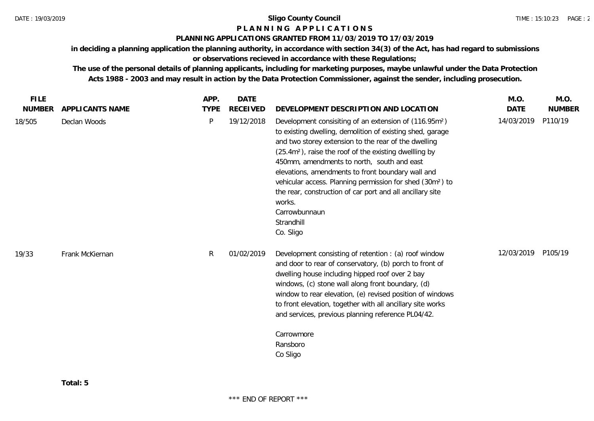# **P L A N N I N G A P P L I C A T I O N S**

#### **PLANNING APPLICATIONS GRANTED FROM 11/03/2019 TO 17/03/2019**

**in deciding a planning application the planning authority, in accordance with section 34(3) of the Act, has had regard to submissions** 

# **or observations recieved in accordance with these Regulations;**

**The use of the personal details of planning applicants, including for marketing purposes, maybe unlawful under the Data Protection Acts 1988 - 2003 and may result in action by the Data Protection Commissioner, against the sender, including prosecution.**

| <b>FILE</b>   |                 | APP.        | <b>DATE</b>     |                                                                                                                                                                                                                                                                                                                                                                                                                                                                                                                                                              | M.O.        | M.O.          |
|---------------|-----------------|-------------|-----------------|--------------------------------------------------------------------------------------------------------------------------------------------------------------------------------------------------------------------------------------------------------------------------------------------------------------------------------------------------------------------------------------------------------------------------------------------------------------------------------------------------------------------------------------------------------------|-------------|---------------|
| <b>NUMBER</b> | APPLICANTS NAME | <b>TYPE</b> | <b>RECEIVED</b> | DEVELOPMENT DESCRIPTION AND LOCATION                                                                                                                                                                                                                                                                                                                                                                                                                                                                                                                         | <b>DATE</b> | <b>NUMBER</b> |
| 18/505        | Declan Woods    | P           | 19/12/2018      | Development consisiting of an extension of (116.95m <sup>2</sup> )<br>to existing dwelling, demolition of existing shed, garage<br>and two storey extension to the rear of the dwelling<br>(25.4m <sup>2</sup> ), raise the roof of the existing dwellling by<br>450mm, amendments to north, south and east<br>elevations, amendments to front boundary wall and<br>vehicular access. Planning permission for shed (30m <sup>2</sup> ) to<br>the rear, construction of car port and all ancillary site<br>works.<br>Carrowbunnaun<br>Strandhill<br>Co. Sligo | 14/03/2019  | P110/19       |
| 19/33         | Frank McKiernan | R           | 01/02/2019      | Development consisting of retention : (a) roof window<br>and door to rear of conservatory, (b) porch to front of<br>dwelling house including hipped roof over 2 bay<br>windows, (c) stone wall along front boundary, (d)<br>window to rear elevation, (e) revised position of windows<br>to front elevation, together with all ancillary site works<br>and services, previous planning reference PL04/42.<br>Carrowmore<br>Ransboro<br>Co Sligo                                                                                                              | 12/03/2019  | P105/19       |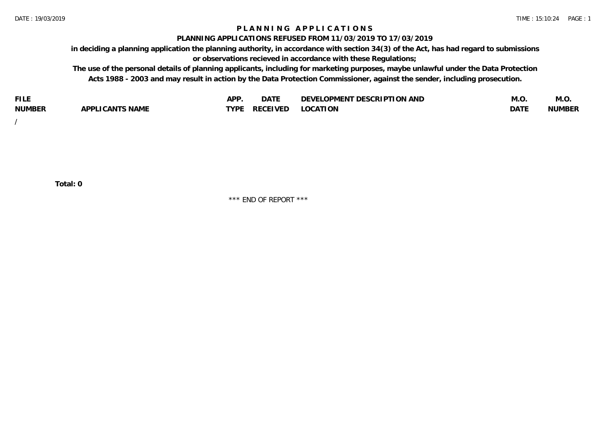# **P L A N N I N G A P P L I C A T I O N S**

#### **PLANNING APPLICATIONS REFUSED FROM 11/03/2019 TO 17/03/2019**

**in deciding a planning application the planning authority, in accordance with section 34(3) of the Act, has had regard to submissions or observations recieved in accordance with these Regulations;**

**The use of the personal details of planning applicants, including for marketing purposes, maybe unlawful under the Data Protection Acts 1988 - 2003 and may result in action by the Data Protection Commissioner, against the sender, including prosecution.**

| <b>FILE</b>   |                                                     | A DE | $\sim$ $\sim$ $\sim$<br>DA I | <b>ENT DESCRIPTION AND</b><br>$\cap$ nn.<br>)E\/F<br>. JIEN L<br>பட | IVI.U       | IVI.U         |
|---------------|-----------------------------------------------------|------|------------------------------|---------------------------------------------------------------------|-------------|---------------|
| <b>NUMBER</b> | <b>ANTS NAME</b><br>A DDI<br>$\sqrt{2}$<br>CAN<br>u | TVDL | ◡⊢                           | <b>OCATION</b>                                                      | <b>DATF</b> | <b>NUMBER</b> |

/

**Total: 0**

\*\*\* END OF REPORT \*\*\*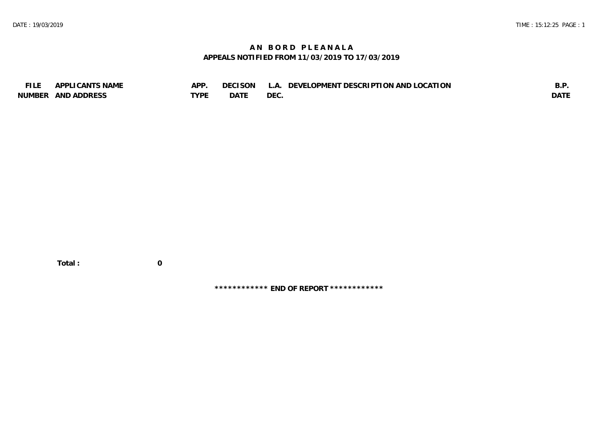# **A N B O R D P L E A N A L A APPEALS NOTIFIED FROM 11/03/2019 TO 17/03/2019**

| <b>FILE</b> | APPLICANTS NAME    | APP  | DECISON L   | L.A. DEVELOPMENT DESCRIPTION AND LOCATION | B.F         |
|-------------|--------------------|------|-------------|-------------------------------------------|-------------|
|             | NUMBER AND ADDRESS | TYPE | <b>DATE</b> | <b>DEC</b>                                | <b>DATE</b> |

 **Total : 0**

**\*\*\*\*\*\*\*\*\*\*\*\* END OF REPORT \*\*\*\*\*\*\*\*\*\*\*\***